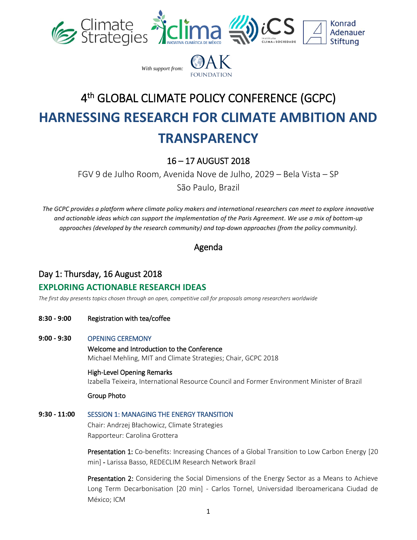



# 4 th GLOBAL CLIMATE POLICY CONFERENCE (GCPC) **HARNESSING RESEARCH FOR CLIMATE AMBITION AND TRANSPARENCY**

# 16 – 17 AUGUST 2018

FGV 9 de Julho Room, Avenida Nove de Julho, 2029 – Bela Vista – SP

São Paulo, Brazil

*The GCPC provides a platform where climate policy makers and international researchers can meet to explore innovative and actionable ideas which can support the implementation of the Paris Agreement. We use a mix of bottom-up approaches (developed by the research community) and top-down approaches (from the policy community).*

Agenda

# Day 1: Thursday, 16 August 2018

### **EXPLORING ACTIONABLE RESEARCH IDEAS**

*The first day presents topics chosen through an open, competitive call for proposals among researchers worldwide*

**8:30 - 9:00** Registration with tea/coffee

#### **9:00 - 9:30** OPENING CEREMONY

Welcome and Introduction to the Conference Michael Mehling, MIT and Climate Strategies; Chair, GCPC 2018

#### High-Level Opening Remarks

Izabella Teixeira, International Resource Council and Former Environment Minister of Brazil

#### Group Photo

#### **9:30 - 11:00** SESSION 1: MANAGING THE ENERGY TRANSITION

Chair: Andrzej Błachowicz, Climate Strategies Rapporteur: Carolina Grottera

**Presentation 1:** Co-benefits: Increasing Chances of a Global Transition to Low Carbon Energy [20] min] - Larissa Basso, REDECLIM Research Network Brazil

**Presentation 2:** Considering the Social Dimensions of the Energy Sector as a Means to Achieve Long Term Decarbonisation [20 min] - Carlos Tornel, Universidad Iberoamericana Ciudad de México; ICM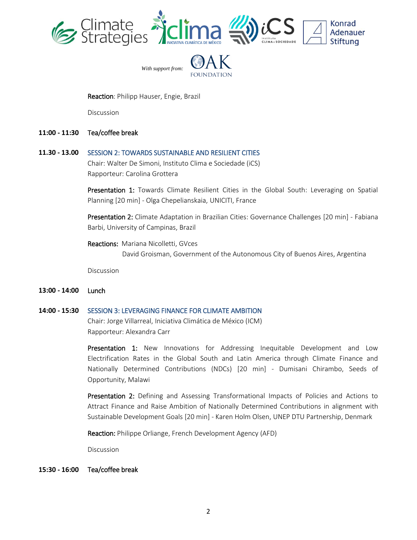



#### Reaction: Philipp Hauser, Engie, Brazil

Discussion

**11:00 - 11:30** Tea/coffee break

#### **11.30 - 13.00** SESSION 2: TOWARDS SUSTAINABLE AND RESILIENT CITIES

Chair: Walter De Simoni, Instituto Clima e Sociedade (iCS) Rapporteur: Carolina Grottera

Presentation 1: Towards Climate Resilient Cities in the Global South: Leveraging on Spatial Planning [20 min] - Olga Chepelianskaia, UNICITI, France

Presentation 2: Climate Adaptation in Brazilian Cities: Governance Challenges [20 min] - Fabiana Barbi, University of Campinas, Brazil

Reactions: Mariana Nicolletti, GVces

David Groisman, Government of the Autonomous City of Buenos Aires, Argentina

Discussion

**13:00 - 14:00** Lunch

#### **14:00 - 15:30** SESSION 3: LEVERAGING FINANCE FOR CLIMATE AMBITION

Chair: Jorge Villarreal, Iniciativa Climática de México (ICM) Rapporteur: Alexandra Carr

Presentation 1: New Innovations for Addressing Inequitable Development and Low Electrification Rates in the Global South and Latin America through Climate Finance and Nationally Determined Contributions (NDCs) [20 min] - Dumisani Chirambo, Seeds of Opportunity, Malawi

Presentation 2: Defining and Assessing Transformational Impacts of Policies and Actions to Attract Finance and Raise Ambition of Nationally Determined Contributions in alignment with Sustainable Development Goals [20 min] - Karen Holm Olsen, UNEP DTU Partnership, Denmark

Reaction: Philippe Orliange, French Development Agency (AFD)

Discussion

**15:30 - 16:00** Tea/coffee break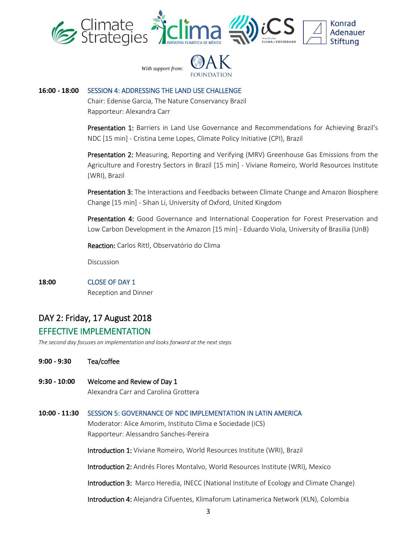



#### **16:00 - 18:00** SESSION 4: ADDRESSING THE LAND USE CHALLENGE

Chair: Edenise Garcia, The Nature Conservancy Brazil Rapporteur: Alexandra Carr

Presentation 1: Barriers in Land Use Governance and Recommendations for Achieving Brazil's NDC [15 min] - Cristina Leme Lopes, Climate Policy Initiative (CPI), Brazil

Presentation 2: Measuring, Reporting and Verifying (MRV) Greenhouse Gas Emissions from the Agriculture and Forestry Sectors in Brazil [15 min] - Viviane Romeiro, World Resources Institute (WRI), Brazil

**Presentation 3:** The Interactions and Feedbacks between Climate Change and Amazon Biosphere Change [15 min] - Sihan Li, University of Oxford, United Kingdom

Presentation 4: Good Governance and International Cooperation for Forest Preservation and Low Carbon Development in the Amazon [15 min] - Eduardo Viola, University of Brasilia (UnB)

Reaction: Carlos Rittl, Observatório do Clima

Discussion

**18:00** CLOSE OF DAY 1 Reception and Dinner

# DAY 2: Friday, 17 August 2018

## EFFECTIVE IMPLEMENTATION

*The second day focuses on implementation and looks forward at the next steps*

- **9:00 - 9:30** Tea/coffee
- **9:30 - 10:00** Welcome and Review of Day 1 Alexandra Carr and Carolina Grottera

#### **10:00 - 11:30** SESSION 5: GOVERNANCE OF NDC IMPLEMENTATION IN LATIN AMERICA

Moderator: Alice Amorim, Instituto Clima e Sociedade (iCS) Rapporteur: Alessandro Sanches-Pereira

Introduction 1: Viviane Romeiro, World Resources Institute (WRI), Brazil

Introduction 2: Andrés Flores Montalvo, World Resources Institute (WRI), Mexico

Introduction 3: Marco Heredia, INECC (National Institute of Ecology and Climate Change)

Introduction 4: Alejandra Cifuentes, Klimaforum Latinamerica Network (KLN), Colombia